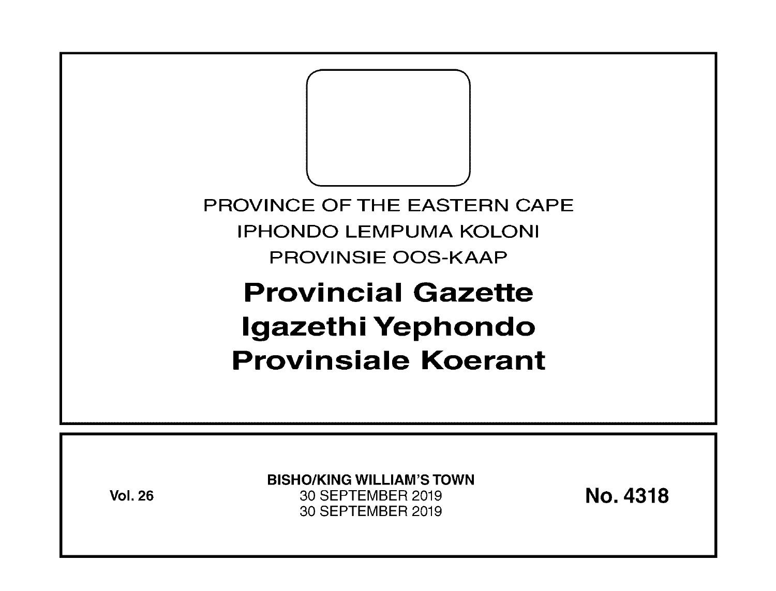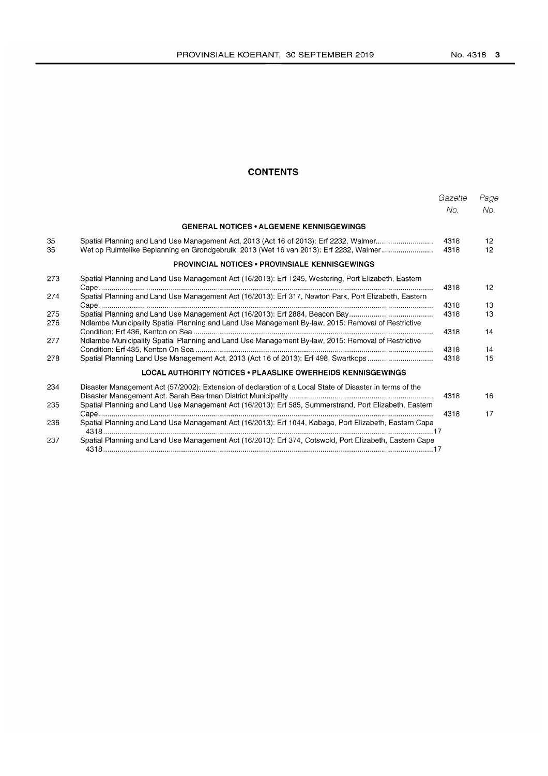#### **CONTENTS**

|            |                                                                                                                                                                                                               | Gazette<br>No. | Page<br>No. |
|------------|---------------------------------------------------------------------------------------------------------------------------------------------------------------------------------------------------------------|----------------|-------------|
|            | <b>GENERAL NOTICES • ALGEMENE KENNISGEWINGS</b>                                                                                                                                                               |                |             |
| 35<br>35   | Spatial Planning and Land Use Management Act, 2013 (Act 16 of 2013): Erf 2232, Walmer<br>Wet op Ruimtelike Beplanning en Grondgebruik, 2013 (Wet 16 van 2013): Erf 2232, Walmer                               | 4318<br>4318   | 12<br>12    |
|            | <b>PROVINCIAL NOTICES • PROVINSIALE KENNISGEWINGS</b>                                                                                                                                                         |                |             |
| 273<br>274 | Spatial Planning and Land Use Management Act (16/2013): Erf 1245, Westering, Port Elizabeth, Eastern<br>Spatial Planning and Land Use Management Act (16/2013): Erf 317, Newton Park, Port Elizabeth, Eastern | 4318<br>4318   | 12<br>13    |
| 275<br>276 | Ndlambe Municipality Spatial Planning and Land Use Management By-law, 2015: Removal of Restrictive                                                                                                            | 4318<br>4318   | 13<br>14    |
| 277<br>278 | Ndlambe Municipality Spatial Planning and Land Use Management By-law, 2015: Removal of Restrictive<br>Spatial Planning Land Use Management Act, 2013 (Act 16 of 2013): Erf 498, Swartkops                     | 4318<br>4318   | 14<br>15    |
|            | <b>LOCAL AUTHORITY NOTICES • PLAASLIKE OWERHEIDS KENNISGEWINGS</b>                                                                                                                                            |                |             |
| 234<br>235 | Disaster Management Act (57/2002): Extension of declaration of a Local State of Disaster in terms of the                                                                                                      | 4318           | 16          |
|            | Spatial Planning and Land Use Management Act (16/2013): Erf 585, Summerstrand, Port Elizabeth, Eastern                                                                                                        | 4318           | 17          |
| 236        | Spatial Planning and Land Use Management Act (16/2013): Erf 1044, Kabega, Port Elizabeth, Eastern Cape                                                                                                        |                |             |
| 237        | Spatial Planning and Land Use Management Act (16/2013): Erf 374, Cotswold, Port Elizabeth, Eastern Cape                                                                                                       |                |             |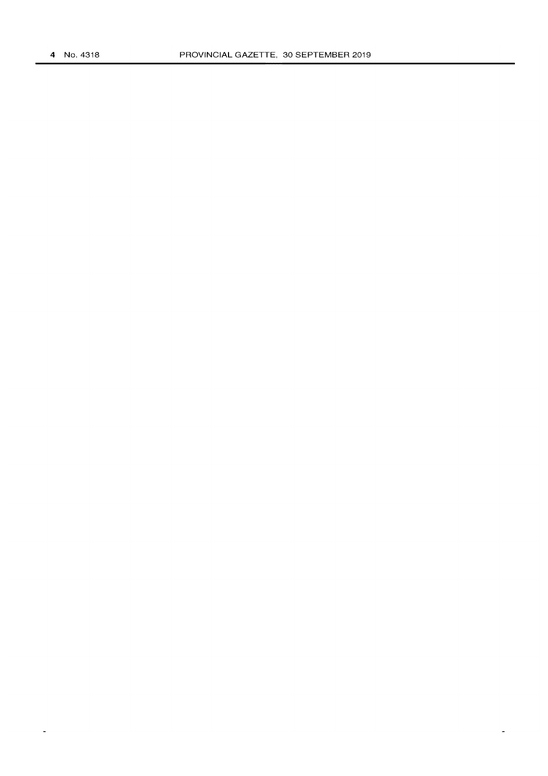$\Box$ 

 $\overline{\phantom{a}}$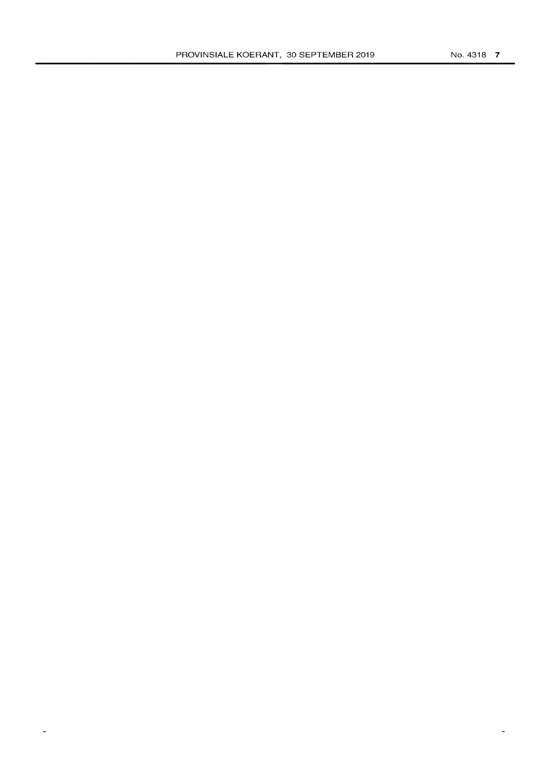$\ddot{\phantom{a}}$ 

 $\tilde{\phantom{a}}$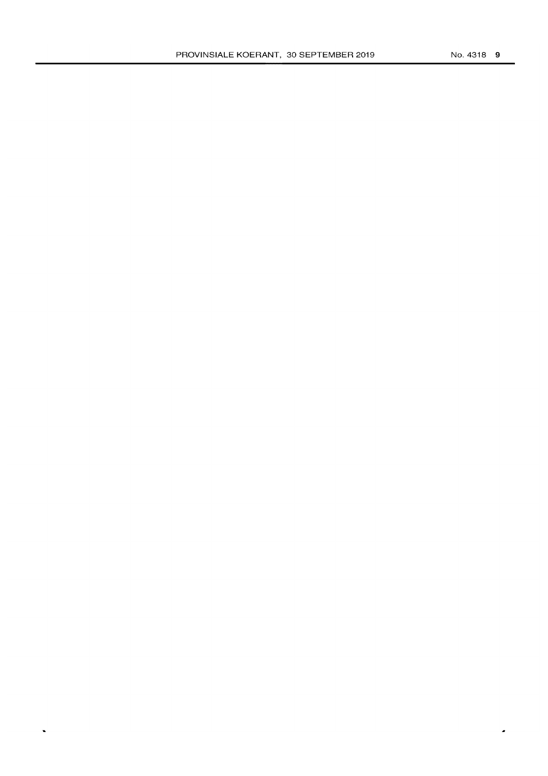$\hat{\mathbf{z}}$ 

 $\hat{\textbf{z}}$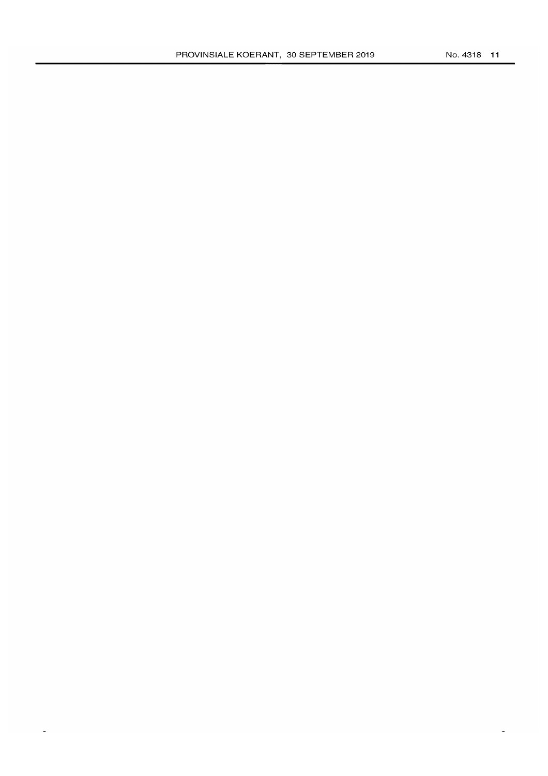$\bar{\mathbf{z}}$ 

 $\overline{\phantom{a}}$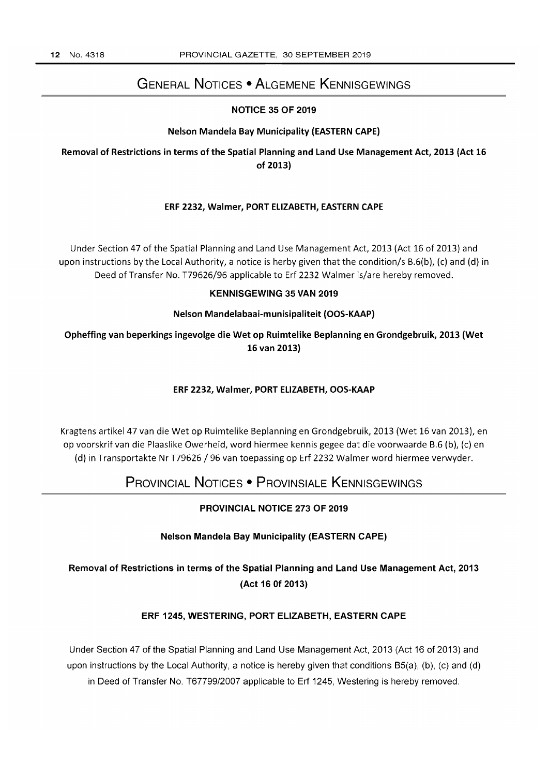## GENERAL NOTICES • ALGEMENE KENNISGEWINGS

#### NOTICE 35 OF 2019

#### Nelson Mandela Bay Municipality (EASTERN CAPE)

Removal of Restrictions in terms of the Spatial Planning and Land Use Management Act, 2013 (Act 16 of 2013)

#### ERF 2232, Walmer, PORT ELIZABETH, EASTERN CAPE

Under Section 47 ofthe Spatial Planning and Land Use Management Act, 2013 (Act 16 of 2013) and upon instructions by the Local Authority, a notice is herby given that the condition/s B.6(b), (c) and (d) in Deed of Transfer No. T79626/96 applicable to Erf 2232 Walmer is/are hereby removed.

#### KENNISGEWING 35 VAN 2019

Nelson Mandelabaai-munisipaliteit (OOS-KAAP)

Opheffing van beperkings ingevolge die Wet op Ruimtelike Beplanning en Grondgebruik, 2013 (Wet 16 van 2013)

#### ERF 2232, Walmer, PORT ELIZABETH, OOS-KAAP

Kragtens artikel47 van die Wet op Ruimtelike Beplanning en Grondgebruik, 2013 (Wet 16 van 2013), en op voorskrif van die Plaaslike Owerheid, word hiermee kennis gegee dat die voorwaarde B.6 (b), (c) en (d) in Transportakte Nr T79626 / 96 van toepassing op Erf 2232 Walmer word hiermee verwyder.

# PROVINCIAL NOTICES • PROVINSIALE KENNISGEWINGS

#### PROVINCIAL NOTICE 273 OF 2019

#### Nelson Mandela Bay Municipality (EASTERN CAPE)

## Removal of Restrictions in terms of the Spatial Planning and Land Use Management Act, 2013 (Act 16 Of 2013)

#### ERF 1245, WESTERING, PORT ELIZABETH, EASTERN CAPE

Under Section 47 of the Spatial Planning and Land Use Management Act, 2013 (Act 16 of 2013) and upon instructions by the Local Authority, a notice is hereby given that conditions 85(a), (b), (c) and (d) in Deed of Transfer No. T67799/2007 applicable to Erf 1245, Westering is hereby removed.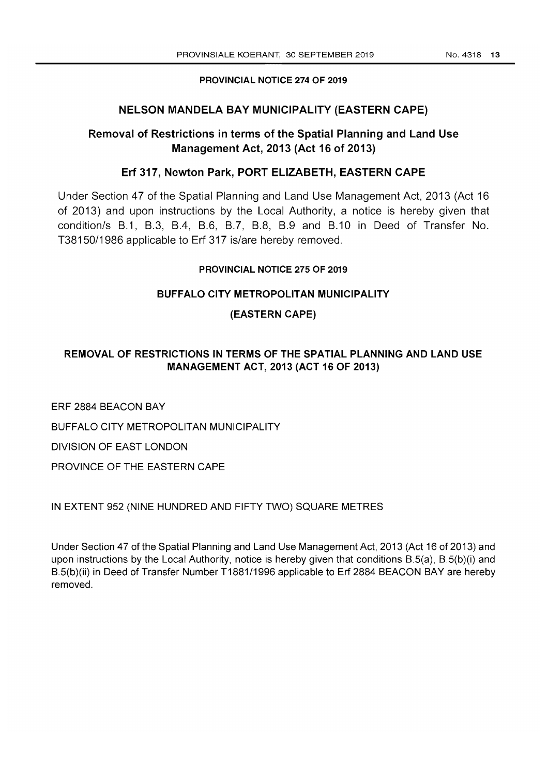#### PROVINCIAL NOTICE 274 OF 2019

## NELSON MANDELA BAY MUNICIPALITY (EASTERN CAPE)

## Removal of Restrictions in terms of the Spatial Planning and Land Use Management Act, 2013 (Act 16 of 2013)

## Erf 317, Newton Park, PORT ELIZABETH, EASTERN CAPE

Under Section 47 of the Spatial Planning and Land Use Management Act, 2013 (Act 16 of 2013) and upon instructions by the Local Authority, a notice is hereby given that condition/s B.1, B.3, BA, B.6, B.7, B.8, B.9 and B.10 in Deed of Transfer No. T38150/1986 applicable to Erf 317 is/are hereby removed.

#### PROVINCIAL NOTICE 275 OF 2019

#### BUFFALO CITY METROPOLITAN MUNICIPALITY

#### (EASTERN CAPE)

## REMOVAL OF RESTRICTIONS IN TERMS OF THE SPATIAL PLANNING AND LAND USE MANAGEMENT ACT, 2013 (ACT 16 OF 2013)

ERF 2884 BEACON BAY

BUFFALO CITY METROPOLITAN MUNICIPALITY

DIVISION OF EAST LONDON

PROVINCE OF THE EASTERN CAPE

### IN EXTENT 952 (NINE HUNDRED AND FIFTY TWO) SQUARE METRES

Under Section 47 of the Spatial Planning and Land Use Management Act, 2013 (Act 16 of 2013) and upon instructions by the Local Authority, notice is hereby given that conditions B.5(a), B.5(b)(i) and B.5(b)(ii) in Deed of Transfer Number T1881/1996 applicable to Erf 2884 BEACON BAY are hereby removed.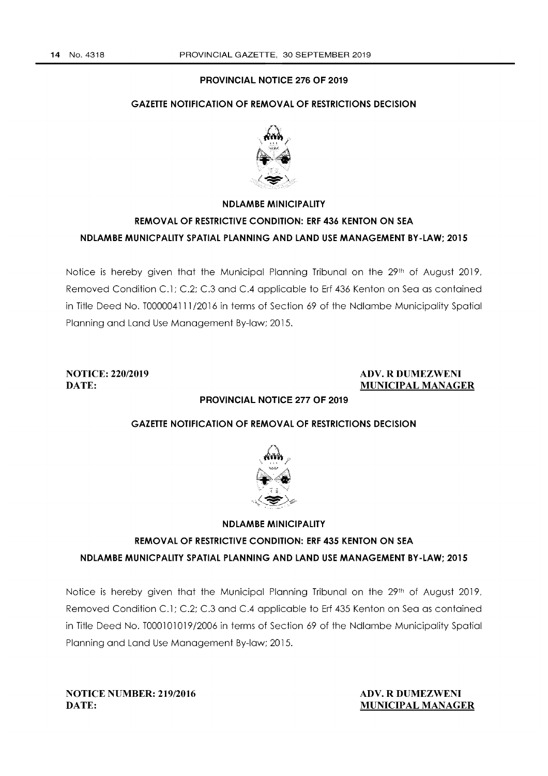#### **PROVINCIAL NOTICE 276 OF 2019**

#### **GAZETTE NOTIFICATION OF REMOVAL OF RESTRICTIONS DECISION**



# **NDLAMBE MINICIPALITY REMOVAL OF RESTRICTIVE CONDITION: ERF 436 KENTON ON SEA NDLAMBE MUNICPALITY SPATIAL PLANNING AND LAND USE MANAGEMENT BY-LAW; 2015**

Notice is hereby given that the Municipal Planning Tribunal on the 29<sup>th</sup> of August 2019, Removed Condition C.l; C.2; C.3 and CA applicable to Erf 436 Kenton on Sea os contained in Title Deed No. T000004111/2016 in terms of Section 69 of the Ndlambe Municipality Spatial Planning and Land Use Management By-low; 2015.

**NOTICE: 220/2019 DATE:** 

#### **ADV. R DUMEZWENI MUNICIPAL MANAGER**

#### **PROVINCIAL NOTICE 277 OF 2019**

#### **GAZETTE NOTIFICATION OF REMOVAL OF RESTRICTIONS DECISION**



# **NDLAMBE MINICIPALITY REMOVAL OF RESTRICTIVE CONDITION: ERF 435 KENTON ON SEA NDLAMBE MUNICPALITY SPATIAL PLANNING AND LAND USE MANAGEMENT BY-LAW; 2015**

Notice is hereby given that the Municipal Planning Tribunal on the 29th of August 2019, Removed Condition C.l; C.2; C.3 and CA applicable to Erf 435 Kenton on Sea os contained in Title Deed No. T000101019/2006 in terms of Section 69 of the Ndlambe Municipality Spatial Planning and Land Use Management By-low; 2015.

**NOTICE NUMBER: 219/2016 DATE:** 

**ADV. R DUMEZWENI MUNICIPAL MANAGER**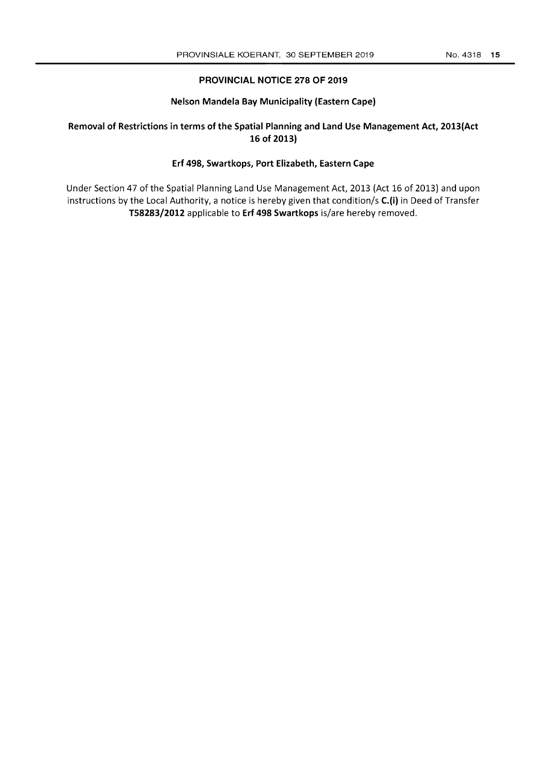#### **PROVINCIAL NOTICE 278 OF 2019**

#### **Nelson Mandela Bay Municipality (Eastern Cape)**

#### **Removal of Restrictions in terms of the Spatial Planning and Land Use Management Act, 2013(Act 16 of 2013)**

#### **Erf 498, Swartkops, Port Elizabeth, Eastern Cape**

Under Section 47 of the Spatial Planning Land Use Management Act, 2013 (Act 16 of 2013) and upon instructions by the Local Authority, a notice is hereby given that condition/s **C.(i)** in Deed of Transfer **T58283/2012** applicable to **Erf 498 Swartkops** is/are hereby removed.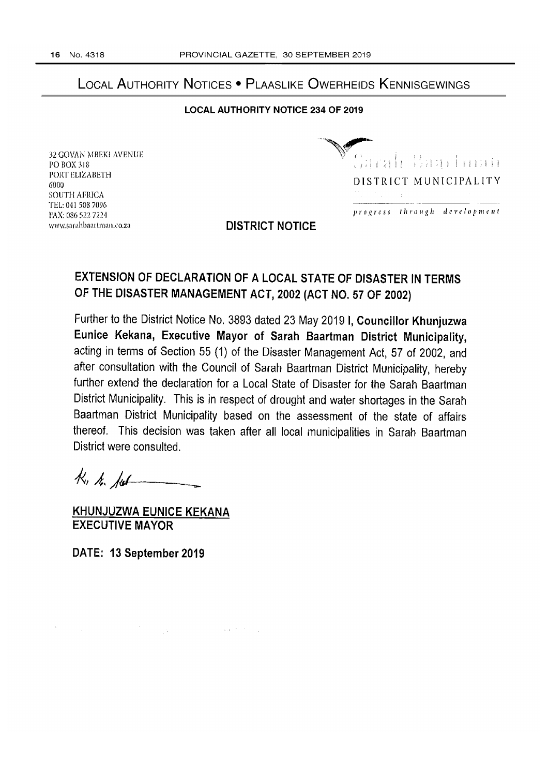# LOCAL AUTHORITY NOTICES • PLAASLIKE OWERHEIDS KENNISGEWINGS

#### LOCAL AUTHORITY NOTICE 234 OF 2019

32 GOVAN MBEKI AVENUE PO BOX 318 PORT ELIZABETH SOUTH AFRICA TEL: 0-11 503 70% FAX: 086 522 7224 www.sarahbaartman.co.za

 $\ddot{\Omega}$ iah baaji (man FORT ELEABETH<br>6000

*progress* through development

DISTRICT NOTICE

# EXTENSION OF DECLARATION OF A LOCAL STATE OF DISASTER IN TERMS OF THE DISASTER MANAGEMENT ACT, 2002 (ACT NO. 57 OF 2002)

Further to the District Notice No, 3893 dated 23 May 2019 I, Councillor Khunjuzwa Eunice Kekana, Executive Mayor of Sarah Baartman District Municipality, acting in terms of Section 55 (1) of the Disaster Management Act, 57 of 2002, and after consultation with the Council of Sarah Baartman District Municipality, hereby further extend the declaration for a Local State of Disaster for the Sarah Baartman District Municipality. This is in respect of drought and water shortages in the Sarah Baartman District Municipality based on the assessment of the state of affairs thereof. This decision was taken after all local municipalities in Sarah Baartman District were consulted.

 $\mathcal{L} = \mathcal{L}(\mathbf{r},\mathbf{r})$  ,  $\mathcal{L} = \mathcal{L}(\mathcal{L})$ 

 $k$ ,  $k$ , fut

KHUNJUZWA EUNICE KEKANA **EXECUTIVE MAYOR** 

DATE: 13 September 2019

 $\label{eq:2.1} \frac{1}{2} \int_{\mathbb{R}^3} \frac{1}{2} \left( \frac{1}{2} \int_{\mathbb{R}^3} \frac{1}{2} \left( \frac{1}{2} \int_{\mathbb{R}^3} \frac{1}{2} \left( \frac{1}{2} \int_{\mathbb{R}^3} \frac{1}{2} \left( \frac{1}{2} \int_{\mathbb{R}^3} \frac{1}{2} \right) \right) \right) \, d\mathcal{H} \right) \, d\mathcal{H} \, d\mathcal{H} \, d\mathcal{H} \, d\mathcal{H} \, d\mathcal{H} \, d$